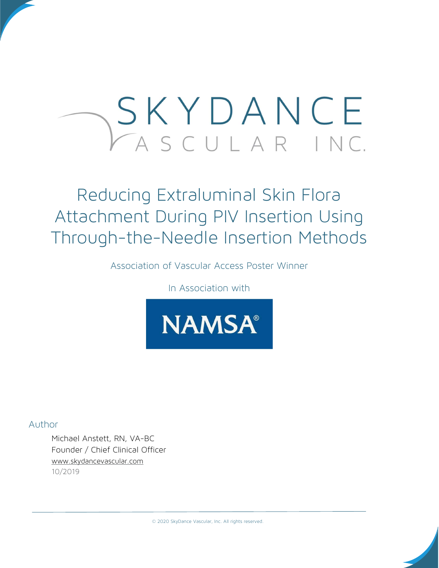# SKYDANCE ASCULAR INC.

## Reducing Extraluminal Skin Flora Attachment During PIV Insertion Using Through-the-Needle Insertion Methods

Association of Vascular Access Poster Winner

In Association with



Author

Michael Anstett, RN, VA-BC Founder / Chief Clinical Officer www.skydancevascular.com 10/2019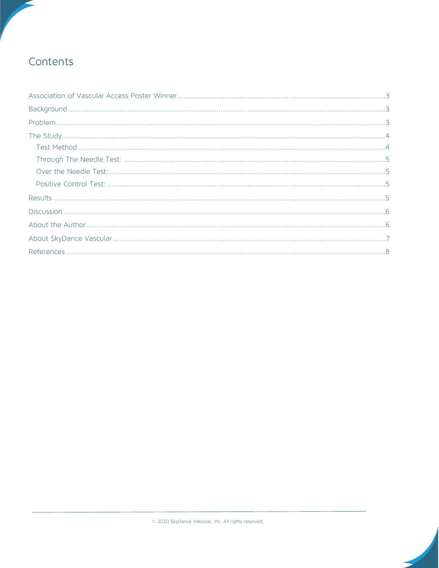## Contents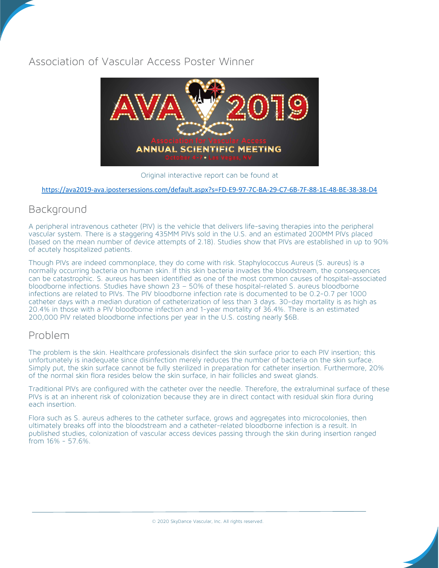### Association of Vascular Access Poster Winner



Original interactive report can be found at

#### https://ava2019-ava.ipostersessions.com/default.aspx?s=FD-E9-97-7C-BA-29-C7-6B-7F-88-1E-48-BE-38-38-D4

#### Background

A peripheral intravenous catheter (PIV) is the vehicle that delivers life-saving therapies into the peripheral vascular system. There is a staggering 435MM PIVs sold in the U.S. and an estimated 200MM PIVs placed (based on the mean number of device attempts of 2.18). Studies show that PIVs are established in up to 90% of acutely hospitalized patients.

Though PIVs are indeed commonplace, they do come with risk. Staphylococcus Aureus (S. aureus) is a normally occurring bacteria on human skin. If this skin bacteria invades the bloodstream, the consequences can be catastrophic. S. aureus has been identified as one of the most common causes of hospital-associated bloodborne infections. Studies have shown 23 – 50% of these hospital-related S. aureus bloodborne infections are related to PIVs. The PIV bloodborne infection rate is documented to be 0.2-0.7 per 1000 catheter days with a median duration of catheterization of less than 3 days. 30-day mortality is as high as 20.4% in those with a PIV bloodborne infection and 1-year mortality of 36.4%. There is an estimated 200,000 PIV related bloodborne infections per year in the U.S. costing nearly \$6B.

#### Problem

The problem is the skin. Healthcare professionals disinfect the skin surface prior to each PIV insertion; this unfortunately is inadequate since disinfection merely reduces the number of bacteria on the skin surface. Simply put, the skin surface cannot be fully sterilized in preparation for catheter insertion. Furthermore, 20% of the normal skin flora resides below the skin surface, in hair follicles and sweat glands.

Traditional PIVs are configured with the catheter over the needle. Therefore, the extraluminal surface of these PIVs is at an inherent risk of colonization because they are in direct contact with residual skin flora during each insertion.

Flora such as S. aureus adheres to the catheter surface, grows and aggregates into microcolonies, then ultimately breaks off into the bloodstream and a catheter-related bloodborne infection is a result. In published studies, colonization of vascular access devices passing through the skin during insertion ranged from 16% - 57.6%.

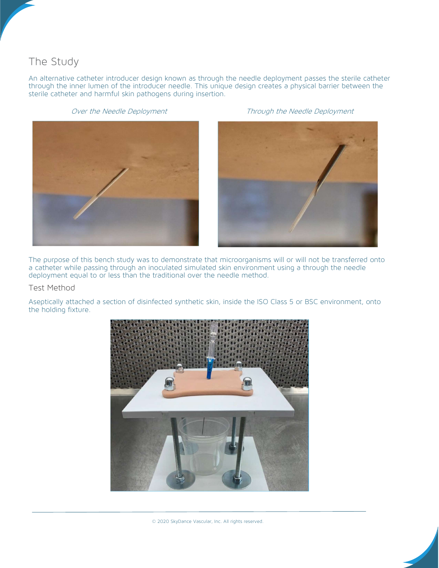## The Study

An alternative catheter introducer design known as through the needle deployment passes the sterile catheter through the inner lumen of the introducer needle. This unique design creates a physical barrier between the sterile catheter and harmful skin pathogens during insertion.





Over the Needle Deployment Through the Needle Deployment



The purpose of this bench study was to demonstrate that microorganisms will or will not be transferred onto a catheter while passing through an inoculated simulated skin environment using a through the needle deployment equal to or less than the traditional over the needle method.

#### Test Method

Aseptically attached a section of disinfected synthetic skin, inside the ISO Class 5 or BSC environment, onto the holding fixture.

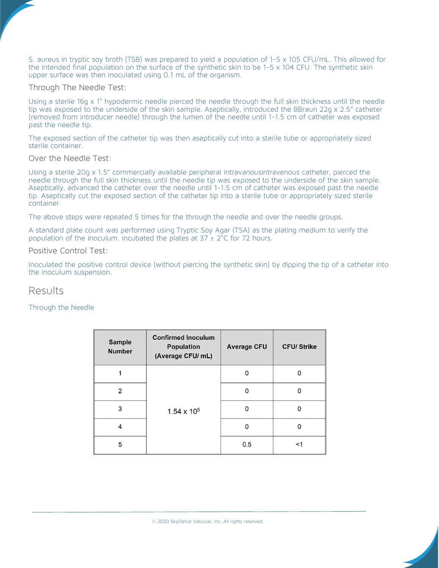S. aureus in tryptic soy broth (TSB) was prepared to yield a population of 1-5 x 105 CFU/mL. This allowed for the intended final population on the surface of the synthetic skin to be 1-5 x 104 CFU. The synthetic skin upper surface was then inoculated using 0.1 mL of the organism.

Through The Needle Test:

Using a sterile 16g x 1" hypodermic needle pierced the needle through the full skin thickness until the needle tip was exposed to the underside of the skin sample. Aseptically, introduced the BBraun 22g x 2.5" catheter (removed from introducer needle) through the lumen of the needle until 1-1.5 cm of catheter was exposed past the needle tip.

The exposed section of the catheter tip was then aseptically cut into a sterile tube or appropriately sized sterile container.

Over the Needle Test:

Using a sterile 20g x 1.5" commercially available peripheral intravanousintravenous catheter, pierced the needle through the full skin thickness until the needle tip was exposed to the underside of the skin sample. Aseptically, advanced the catheter over the needle until 1-1.5 cm of catheter was exposed past the needle tip. Aseptically cut the exposed section of the catheter tip into a sterile tube or appropriately sized sterile container.

The above steps were repeated 5 times for the through the needle and over the needle groups.

A standard plate count was performed using Tryptic Soy Agar (TSA) as the plating medium to verify the population of the inoculum. Incubated the plates at  $37 \pm 2^{\circ}$ C for 72 hours.

Positive Control Test:

Inoculated the positive control device (without piercing the synthetic skin) by dipping the tip of a catheter into the inoculum suspension.

Results

Through the Needle

| <b>Sample</b><br><b>Number</b> | <b>Confirmed Inoculum</b><br><b>Population</b><br>(Average CFU/ mL) | <b>Average CFU</b> | <b>CFU/Strike</b> |
|--------------------------------|---------------------------------------------------------------------|--------------------|-------------------|
|                                | $1.54 \times 10^{5}$                                                | n                  |                   |
| 2                              |                                                                     |                    |                   |
| 3                              |                                                                     |                    |                   |
|                                |                                                                     |                    |                   |
| 5                              |                                                                     | 0.5                | <1                |

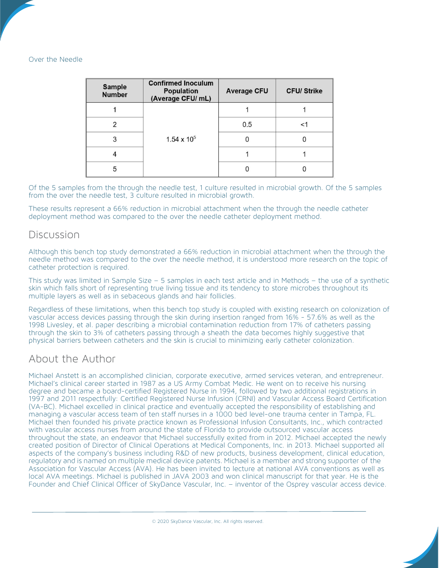#### Over the Needle

| <b>Sample</b><br><b>Number</b> | <b>Confirmed Inoculum</b><br><b>Population</b><br>(Average CFU/ mL) | <b>Average CFU</b> | <b>CFU/Strike</b> |
|--------------------------------|---------------------------------------------------------------------|--------------------|-------------------|
|                                | $1.54 \times 10^{5}$                                                |                    |                   |
|                                |                                                                     | 0.5                |                   |
| 3                              |                                                                     |                    |                   |
|                                |                                                                     |                    |                   |
| 5                              |                                                                     |                    |                   |

Of the 5 samples from the through the needle test, 1 culture resulted in microbial growth. Of the 5 samples from the over the needle test, 3 culture resulted in microbial growth.

These results represent a 66% reduction in microbial attachment when the through the needle catheter deployment method was compared to the over the needle catheter deployment method.

#### Discussion

Although this bench top study demonstrated a 66% reduction in microbial attachment when the through the needle method was compared to the over the needle method, it is understood more research on the topic of catheter protection is required.

This study was limited in Sample Size – 5 samples in each test article and in Methods – the use of a synthetic skin which falls short of representing true living tissue and its tendency to store microbes throughout its multiple layers as well as in sebaceous glands and hair follicles.

Regardless of these limitations, when this bench top study is coupled with existing research on colonization of vascular access devices passing through the skin during insertion ranged from 16% - 57.6% as well as the 1998 Livesley, et al. paper describing a microbial contamination reduction from 17% of catheters passing through the skin to 3% of catheters passing through a sheath the data becomes highly suggestive that physical barriers between catheters and the skin is crucial to minimizing early catheter colonization.

#### About the Author

Michael Anstett is an accomplished clinician, corporate executive, armed services veteran, and entrepreneur. Michael's clinical career started in 1987 as a US Army Combat Medic. He went on to receive his nursing degree and became a board-certified Registered Nurse in 1994, followed by two additional registrations in 1997 and 2011 respectfully: Certified Registered Nurse Infusion (CRNI) and Vascular Access Board Certification (VA-BC). Michael excelled in clinical practice and eventually accepted the responsibility of establishing and managing a vascular access team of ten staff nurses in a 1000 bed level-one trauma center in Tampa, FL. Michael then founded his private practice known as Professional Infusion Consultants, Inc., which contracted with vascular access nurses from around the state of Florida to provide outsourced vascular access throughout the state, an endeavor that Michael successfully exited from in 2012. Michael accepted the newly created position of Director of Clinical Operations at Medical Components, Inc. in 2013. Michael supported all aspects of the company's business including R&D of new products, business development, clinical education, regulatory and is named on multiple medical device patents. Michael is a member and strong supporter of the Association for Vascular Access (AVA). He has been invited to lecture at national AVA conventions as well as local AVA meetings. Michael is published in JAVA 2003 and won clinical manuscript for that year. He is the Founder and Chief Clinical Officer of SkyDance Vascular, Inc. – inventor of the Osprey vascular access device.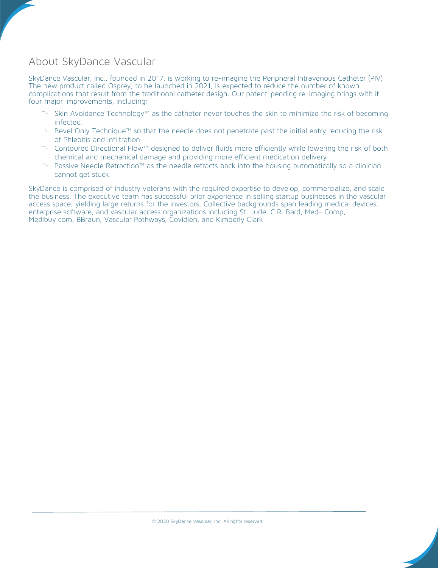## About SkyDance Vascular

SkyDance Vascular, Inc., founded in 2017, is working to re-imagine the Peripheral Intravenous Catheter (PIV). The new product called Osprey, to be launched in 2021, is expected to reduce the number of known complications that result from the traditional catheter design. Our patent-pending re-imaging brings with it four major improvements, including:

- $\triangledown$  Skin Avoidance Technology™ as the catheter never touches the skin to minimize the risk of becoming infected.
- $\triangleright$  Bevel Only Technique™ so that the needle does not penetrate past the initial entry reducing the risk of Phlebitis and Infiltration.
- $\triangleright$  Contoured Directional Flow™ designed to deliver fluids more efficiently while lowering the risk of both chemical and mechanical damage and providing more efficient medication delivery.
- $\curvearrowright$  Passive Needle Retraction™ as the needle retracts back into the housing automatically so a clinician cannot get stuck.

SkyDance is comprised of industry veterans with the required expertise to develop, commercialize, and scale the business. The executive team has successful prior experience in selling startup businesses in the vascular access space, yielding large returns for the investors. Collective backgrounds span leading medical devices, enterprise software, and vascular access organizations including St. Jude, C.R. Bard, Med- Comp, Medibuy.com, BBraun, Vascular Pathways, Covidien, and Kimberly Clark